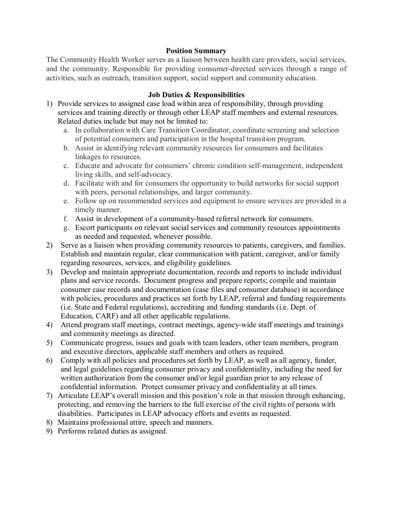## **Position Summary**

The Community Health Worker serves as a liaison between health care providers, social services, and the community. Responsible for providing consumer-directed services through a range of activities, such as outreach, transition support, social support and community education.

## **Job Duties & Responsibilities**

- 1) Provide services to assigned case load within area of responsibility, through providing services and training directly or through other LEAP staff members and external resources. Related duties include but may not be limited to:
	- a. In collaboration with Care Transition Coordinator, coordinate screening and selection of potential consumers and participation in the hospital transition program.
	- b. Assist in identifying relevant community resources for consumers and facilitates linkages to resources.
	- c. Educate and advocate for consumers' chronic condition self-management, independent living skills, and self-advocacy.
	- d. Facilitate with and for consumers the opportunity to build networks for social support with peers, personal relationships, and larger community.
	- e. Follow up on recommended services and equipment to ensure services are provided in a timely manner.
	- f. Assist in development of a community-based referral network for consumers.
	- g. Escort participants on relevant social services and community resources appointments as needed and requested, whenever possible.
- 2) Serve as a liaison when providing community resources to patients, caregivers, and families. Establish and maintain regular, clear communication with patient, caregiver, and/or family regarding resources, services, and eligibility guidelines.
- 3) Develop and maintain appropriate documentation, records and reports to include individual plans and service records. Document progress and prepare reports; compile and maintain consumer case records and documentation (case files and consumer database) in accordance with policies, procedures and practices set forth by LEAP, referral and funding requirements (i.e. State and Federal regulations), accrediting and funding standards (i.e. Dept. of Education, CARF) and all other applicable regulations.
- 4) Attend program staff meetings, contract meetings, agency-wide staff meetings and trainings and community meetings as directed.
- 5) Communicate progress, issues and goals with team leaders, other team members, program and executive directors, applicable staff members and others as required.
- 6) Comply with all policies and procedures set forth by LEAP, as well as all agency, funder, and legal guidelines regarding consumer privacy and confidentiality, including the need for written authorization from the consumer and/or legal guardian prior to any release of confidential information. Protect consumer privacy and confidentiality at all times.
- 7) Articulate LEAP's overall mission and this position's role in that mission through enhancing, protecting, and removing the barriers to the full exercise of the civil rights of persons with disabilities. Participates in LEAP advocacy efforts and events as requested.
- 8) Maintains professional attire, speech and manners.
- 9) Performs related duties as assigned.